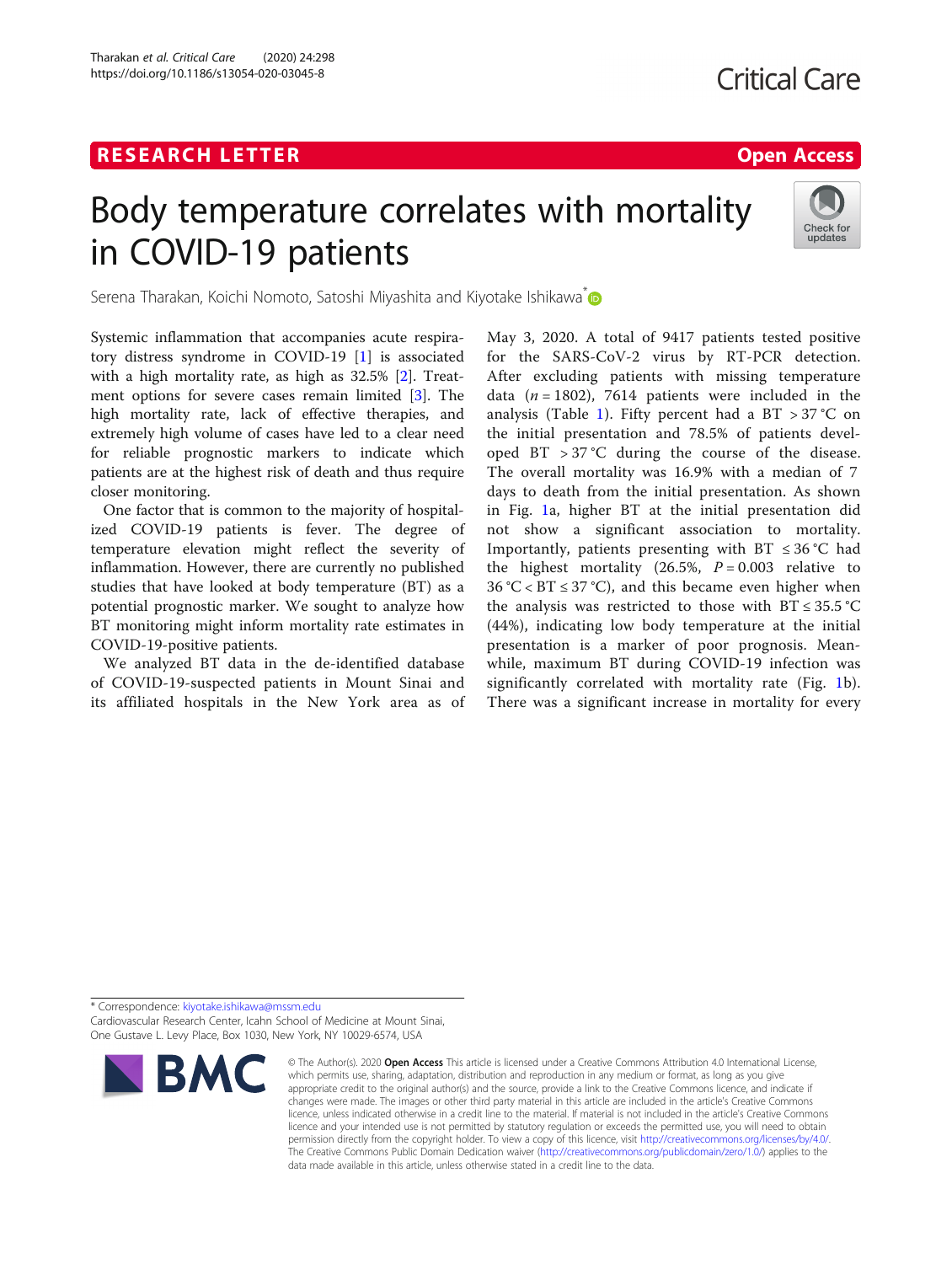# R E S EAR CH L E T T ER Open [Access](http://crossmark.crossref.org/dialog/?doi=10.1186/s13054-020-03045-8&domain=pdf)

# Body temperature correlates with mortality in COVID-19 patients



Serena Tharakan, Koichi Nomoto, Satoshi Miyashita and Kiyotake Ishikawa<sup>\*</sup>

Systemic inflammation that accompanies acute respiratory distress syndrome in COVID-19 [[1\]](#page-2-0) is associated with a high mortality rate, as high as 32.5% [\[2](#page-2-0)]. Treatment options for severe cases remain limited [\[3](#page-2-0)]. The high mortality rate, lack of effective therapies, and extremely high volume of cases have led to a clear need for reliable prognostic markers to indicate which patients are at the highest risk of death and thus require closer monitoring.

One factor that is common to the majority of hospitalized COVID-19 patients is fever. The degree of temperature elevation might reflect the severity of inflammation. However, there are currently no published studies that have looked at body temperature (BT) as a potential prognostic marker. We sought to analyze how BT monitoring might inform mortality rate estimates in COVID-19-positive patients.

We analyzed BT data in the de-identified database of COVID-19-suspected patients in Mount Sinai and its affiliated hospitals in the New York area as of May 3, 2020. A total of 9417 patients tested positive for the SARS-CoV-2 virus by RT-PCR detection. After excluding patients with missing temperature data ( $n = 1802$ ), 7614 patients were included in the analysis (Table [1](#page-1-0)). Fifty percent had a BT  $> 37$  °C on the initial presentation and 78.5% of patients developed BT  $> 37$  °C during the course of the disease. The overall mortality was 16.9% with a median of 7 days to death from the initial presentation. As shown in Fig. [1a](#page-1-0), higher BT at the initial presentation did not show a significant association to mortality. Importantly, patients presenting with BT  $\leq 36$  °C had the highest mortality (26.5%,  $P = 0.003$  relative to  $36 \text{ °C} <$  BT  $\leq 37 \text{ °C}$ , and this became even higher when the analysis was restricted to those with  $BT \leq 35.5^{\circ}C$ (44%), indicating low body temperature at the initial presentation is a marker of poor prognosis. Meanwhile, maximum BT during COVID-19 infection was significantly correlated with mortality rate (Fig. [1b](#page-1-0)). There was a significant increase in mortality for every

\* Correspondence: [kiyotake.ishikawa@mssm.edu](mailto:kiyotake.ishikawa@mssm.edu) Cardiovascular Research Center, Icahn School of Medicine at Mount Sinai, One Gustave L. Levy Place, Box 1030, New York, NY 10029-6574, USA



<sup>©</sup> The Author(s), 2020 **Open Access** This article is licensed under a Creative Commons Attribution 4.0 International License, which permits use, sharing, adaptation, distribution and reproduction in any medium or format, as long as you give appropriate credit to the original author(s) and the source, provide a link to the Creative Commons licence, and indicate if changes were made. The images or other third party material in this article are included in the article's Creative Commons licence, unless indicated otherwise in a credit line to the material. If material is not included in the article's Creative Commons licence and your intended use is not permitted by statutory regulation or exceeds the permitted use, you will need to obtain permission directly from the copyright holder. To view a copy of this licence, visit [http://creativecommons.org/licenses/by/4.0/.](http://creativecommons.org/licenses/by/4.0/) The Creative Commons Public Domain Dedication waiver [\(http://creativecommons.org/publicdomain/zero/1.0/](http://creativecommons.org/publicdomain/zero/1.0/)) applies to the data made available in this article, unless otherwise stated in a credit line to the data.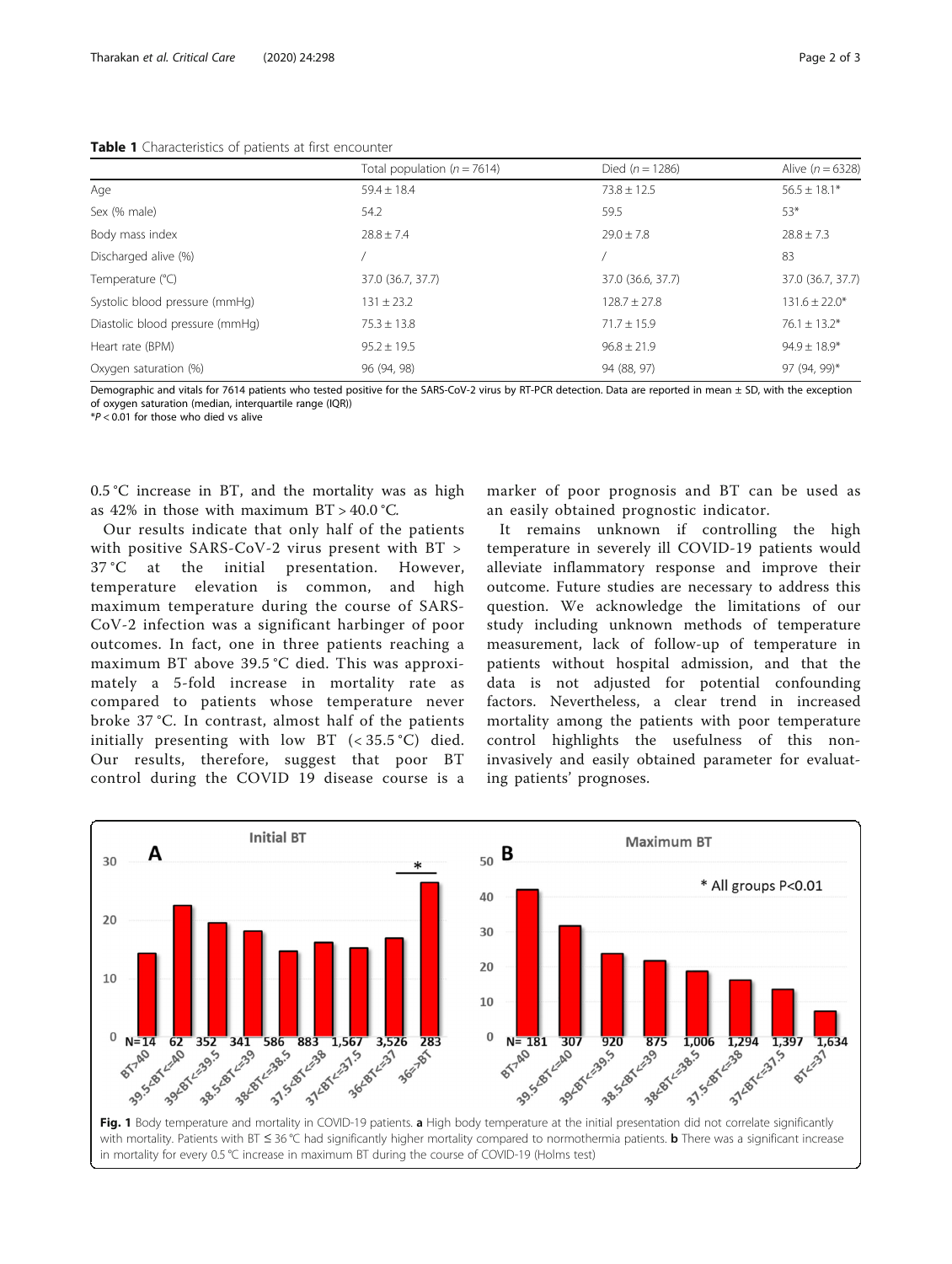# <span id="page-1-0"></span>Table 1 Characteristics of patients at first encounter

|                                 | Total population ( $n = 7614$ ) | Died $(n = 1286)$ | Alive $(n = 6328)$ |
|---------------------------------|---------------------------------|-------------------|--------------------|
| Age                             | $59.4 \pm 18.4$                 | $73.8 \pm 12.5$   | $56.5 \pm 18.1*$   |
| Sex (% male)                    | 54.2                            | 59.5              | 53*                |
| Body mass index                 | $78.8 + 7.4$                    | $79.0 + 7.8$      | $78.8 + 7.3$       |
| Discharged alive (%)            |                                 |                   | 83                 |
| Temperature (°C)                | 37.0 (36.7, 37.7)               | 37.0 (36.6, 37.7) | 37.0 (36.7, 37.7)  |
| Systolic blood pressure (mmHq)  | $131 \pm 23.2$                  | $128.7 \pm 27.8$  | $131.6 \pm 22.0*$  |
| Diastolic blood pressure (mmHg) | $75.3 \pm 13.8$                 | $71.7 \pm 15.9$   | $76.1 \pm 13.2*$   |
| Heart rate (BPM)                | $95.2 \pm 19.5$                 | $96.8 \pm 21.9$   | $94.9 \pm 18.9*$   |
| Oxygen saturation (%)           | 96 (94, 98)                     | 94 (88, 97)       | 97 (94, 99)*       |

Demographic and vitals for 7614 patients who tested positive for the SARS-CoV-2 virus by RT-PCR detection. Data are reported in mean ± SD, with the exception of oxygen saturation (median, interquartile range (IQR))

 $*P < 0.01$  for those who died vs alive

0.5 °C increase in BT, and the mortality was as high as  $42\%$  in those with maximum  $BT > 40.0$  °C.

Our results indicate that only half of the patients with positive SARS-CoV-2 virus present with BT > 37 °C at the initial presentation. However, temperature elevation is common, and high maximum temperature during the course of SARS-CoV-2 infection was a significant harbinger of poor outcomes. In fact, one in three patients reaching a maximum BT above 39.5 °C died. This was approximately a 5-fold increase in mortality rate as compared to patients whose temperature never broke 37 °C. In contrast, almost half of the patients initially presenting with low BT  $(< 35.5 °C)$  died. Our results, therefore, suggest that poor BT control during the COVID 19 disease course is a

marker of poor prognosis and BT can be used as an easily obtained prognostic indicator.

It remains unknown if controlling the high temperature in severely ill COVID-19 patients would alleviate inflammatory response and improve their outcome. Future studies are necessary to address this question. We acknowledge the limitations of our study including unknown methods of temperature measurement, lack of follow-up of temperature in patients without hospital admission, and that the data is not adjusted for potential confounding factors. Nevertheless, a clear trend in increased mortality among the patients with poor temperature control highlights the usefulness of this noninvasively and easily obtained parameter for evaluating patients' prognoses.